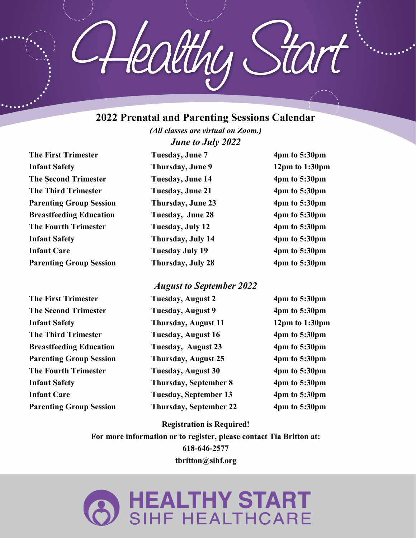## **2022 Prenatal and Parenting Sessions Calendar**

leatthu

*(All classes are virtual on Zoom.) June to July 2022*

The First Trimester Tuesday, June 7 4pm to 5:30pm **Infant Safety Thursday, June 9** 12pm to 1:30pm **The Second Trimester Tuesday, June 14** 4pm to 5:30pm **The Third Trimester Tuesday, June 21 4pm to 5:30pm Parenting Group Session Thursday, June 23 4pm to 5:30pm Breastfeeding Education** Tuesday, June 28 4pm to 5:30pm **The Fourth Trimester Tuesday, July 12** 4pm to 5:30pm **Infant Safety** Thursday, July 14 4pm to 5:30pm **Infant Care Tuesday July 19 4pm to 5:30pm Parenting Group Session Thursday, July 28 4pm to 5:30pm** 

## *August to September 2022*

| <b>The First Trimester</b>     | <b>Tuesday, August 2</b>      | $4pm$ to 5:30pm    |
|--------------------------------|-------------------------------|--------------------|
| <b>The Second Trimester</b>    | <b>Tuesday, August 9</b>      | $4pm$ to 5:30pm    |
| <b>Infant Safety</b>           | Thursday, August 11           | $12pm$ to $1:30pm$ |
| <b>The Third Trimester</b>     | Tuesday, August 16            | $4pm$ to 5:30pm    |
| <b>Breastfeeding Education</b> | Tuesday, August 23            | $4pm$ to 5:30pm    |
| <b>Parenting Group Session</b> | Thursday, August 25           | $4pm$ to 5:30pm    |
| <b>The Fourth Trimester</b>    | Tuesday, August 30            | $4pm$ to 5:30pm    |
| <b>Infant Safety</b>           | <b>Thursday, September 8</b>  | $4pm$ to 5:30pm    |
| <b>Infant Care</b>             | Tuesday, September 13         | $4pm$ to 5:30pm    |
| <b>Parenting Group Session</b> | <b>Thursday, September 22</b> | $4pm$ to 5:30pm    |

**Registration is Required!** 

**For more information or to register, please contact Tia Britton at: 618-646-2577 tbritton@sihf.org**